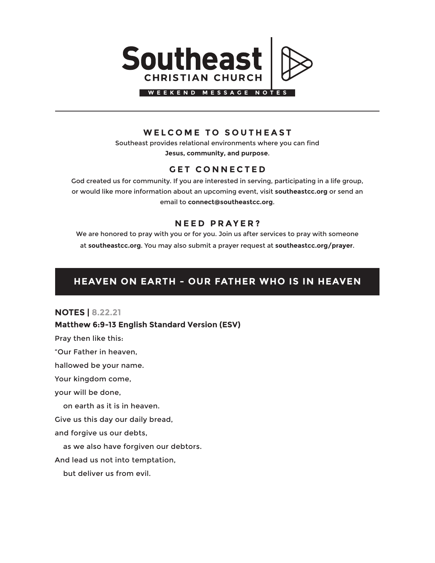

## **WELCOME TO SOUTHEAST**

Southeast provides relational environments where you can find **Jesus, community, and purpose**.

## **GET CONNECTED**

God created us for community. If you are interested in serving, participating in a life group, or would like more information about an upcoming event, visit **southeastcc.org** or send an email to **connect@southeastcc.org**.

## **NEED PRAYER?**

We are honored to pray with you or for you. Join us after services to pray with someone at **southeastcc.org**. You may also submit a prayer request at **southeastcc.org/prayer**.

# **HEAVEN ON EARTH - OUR FATHER WHO IS IN HEAVEN**

### **NOTES | 8.22.21**

### **Matthew 6:9-13 English Standard Version (ESV)**

Pray then like this:

"Our Father in heaven,

hallowed be your name.

Your kingdom come,

your will be done,

on earth as it is in heaven.

Give us this day our daily bread,

and forgive us our debts,

as we also have forgiven our debtors.

And lead us not into temptation,

but deliver us from evil.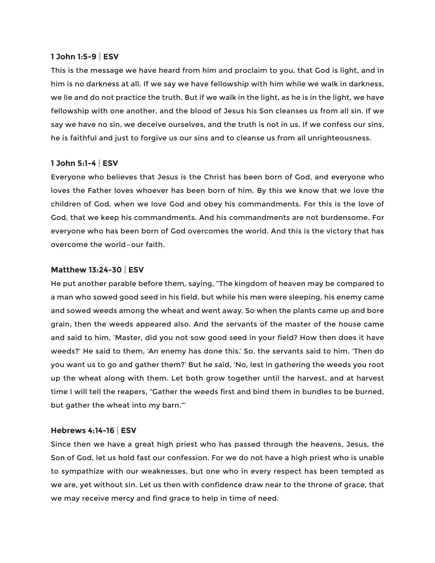#### **1 John 1:5-9 | ESV**

This is the message we have heard from him and proclaim to you, that God is light, and in him is no darkness at all. If we say we have fellowship with him while we walk in darkness, we lie and do not practice the truth. But if we walk in the light, as he is in the light, we have fellowship with one another, and the blood of Jesus his Son cleanses us from all sin. If we say we have no sin, we deceive ourselves, and the truth is not in us. If we confess our sins, he is faithful and just to forgive us our sins and to cleanse us from all unrighteousness.

#### **1 John 5:1-4 | ESV**

Everyone who believes that Jesus is the Christ has been born of God, and everyone who loves the Father loves whoever has been born of him. By this we know that we love the children of God, when we love God and obey his commandments. For this is the love of God, that we keep his commandments. And his commandments are not burdensome. For everyone who has been born of God overcomes the world. And this is the victory that has overcome the world—our faith.

#### **Matthew 13:24-30 | ESV**

He put another parable before them, saying, "The kingdom of heaven may be compared to a man who sowed good seed in his field, but while his men were sleeping, his enemy came and sowed weeds among the wheat and went away. So when the plants came up and bore grain, then the weeds appeared also. And the servants of the master of the house came and said to him, 'Master, did you not sow good seed in your field? How then does it have weeds?' He said to them, 'An enemy has done this.' So, the servants said to him, 'Then do you want us to go and gather them?' But he said, 'No, lest in gathering the weeds you root up the wheat along with them. Let both grow together until the harvest, and at harvest time I will tell the reapers, "Gather the weeds first and bind them in bundles to be burned, but gather the wheat into my barn."'

#### **Hebrews 4:14-16 | ESV**

Since then we have a great high priest who has passed through the heavens, Jesus, the Son of God, let us hold fast our confession. For we do not have a high priest who is unable to sympathize with our weaknesses, but one who in every respect has been tempted as we are, yet without sin. Let us then with confidence draw near to the throne of grace, that we may receive mercy and find grace to help in time of need.